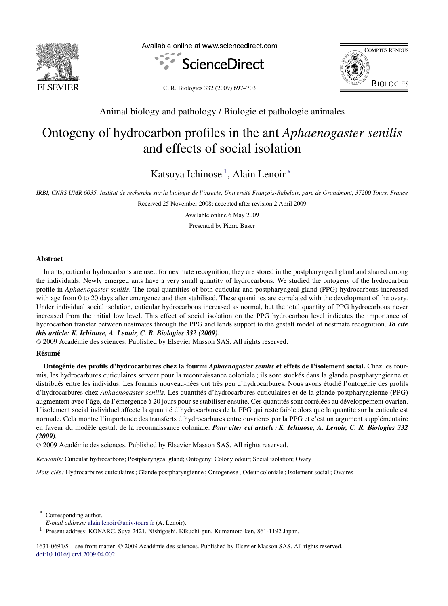

Available online at www.sciencedirect.com





C. R. Biologies 332 (2009) 697–703

## Animal biology and pathology / Biologie et pathologie animales

# Ontogeny of hydrocarbon profiles in the ant *Aphaenogaster senilis* and effects of social isolation

Katsuya Ichinose<sup>1</sup>, Alain Lenoir<sup>\*</sup>

*IRBI, CNRS UMR 6035, Institut de recherche sur la biologie de l'insecte, Université François-Rabelais, parc de Grandmont, 37200 Tours, France* Received 25 November 2008; accepted after revision 2 April 2009

> Available online 6 May 2009 Presented by Pierre Buser

#### **Abstract**

In ants, cuticular hydrocarbons are used for nestmate recognition; they are stored in the postpharyngeal gland and shared among the individuals. Newly emerged ants have a very small quantity of hydrocarbons. We studied the ontogeny of the hydrocarbon profile in *Aphaenogaster senilis*. The total quantities of both cuticular and postpharyngeal gland (PPG) hydrocarbons increased with age from 0 to 20 days after emergence and then stabilised. These quantities are correlated with the development of the ovary. Under individual social isolation, cuticular hydrocarbons increased as normal, but the total quantity of PPG hydrocarbons never increased from the initial low level. This effect of social isolation on the PPG hydrocarbon level indicates the importance of hydrocarbon transfer between nestmates through the PPG and lends support to the gestalt model of nestmate recognition. *To cite this article: K. Ichinose, A. Lenoir, C. R. Biologies 332 (2009).*

© 2009 Académie des sciences. Published by Elsevier Masson SAS. All rights reserved.

## **Résumé**

**Ontogénie des profils d'hydrocarbures chez la fourmi** *Aphaenogaster senilis* **et effets de l'isolement social.** Chez les fourmis, les hydrocarbures cuticulaires servent pour la reconnaissance coloniale ; ils sont stockés dans la glande postpharyngienne et distribués entre les individus. Les fourmis nouveau-nées ont très peu d'hydrocarbures. Nous avons étudié l'ontogénie des profils d'hydrocarbures chez *Aphaenogaster senilis*. Les quantités d'hydrocarbures cuticulaires et de la glande postpharyngienne (PPG) augmentent avec l'âge, de l'émergence à 20 jours pour se stabiliser ensuite. Ces quantités sont corrélées au développement ovarien. L'isolement social individuel affecte la quantité d'hydrocarbures de la PPG qui reste faible alors que la quantité sur la cuticule est normale. Cela montre l'importance des transferts d'hydrocarbures entre ouvrières par la PPG et c'est un argument supplémentaire en faveur du modèle gestalt de la reconnaissance coloniale. *Pour citer cet article : K. Ichinose, A. Lenoir, C. R. Biologies 332 (2009).*

© 2009 Académie des sciences. Published by Elsevier Masson SAS. All rights reserved.

*Keywords:* Cuticular hydrocarbons; Postpharyngeal gland; Ontogeny; Colony odour; Social isolation; Ovary

*Mots-clés :* Hydrocarbures cuticulaires ; Glande postpharyngienne ; Ontogenèse ; Odeur coloniale ; Isolement social ; Ovaires

Corresponding author.

*E-mail address:* [alain.lenoir@univ-tours.fr](mailto:alain.lenoir@univ-tours.fr) (A. Lenoir).

<sup>1</sup> Present address: KONARC, Suya 2421, Nishigoshi, Kikuchi-gun, Kumamoto-ken, 861-1192 Japan.

<sup>1631-0691/\$ –</sup> see front matter © 2009 Académie des sciences. Published by Elsevier Masson SAS. All rights reserved. [doi:10.1016/j.crvi.2009.04.002](http://dx.doi.org/10.1016/j.crvi.2009.04.002)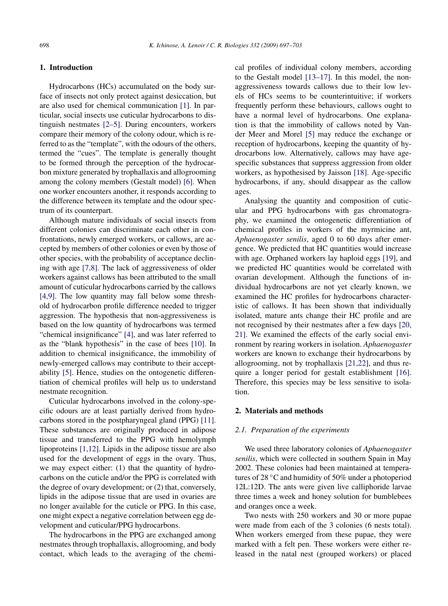## **1. Introduction**

Hydrocarbons (HCs) accumulated on the body surface of insects not only protect against desiccation, but are also used for chemical communication [\[1\].](#page-5-0) In particular, social insects use cuticular hydrocarbons to distinguish nestmates [\[2–5\].](#page-5-0) During encounters, workers compare their memory of the colony odour, which is referred to as the "template", with the odours of the others, termed the "cues". The template is generally thought to be formed through the perception of the hydrocarbon mixture generated by trophallaxis and allogrooming among the colony members (Gestalt model) [\[6\].](#page-5-0) When one worker encounters another, it responds according to the difference between its template and the odour spectrum of its counterpart.

Although mature individuals of social insects from different colonies can discriminate each other in confrontations, newly emerged workers, or callows, are accepted by members of other colonies or even by those of other species, with the probability of acceptance declining with age [\[7,8\].](#page-5-0) The lack of aggressiveness of older workers against callows has been attributed to the small amount of cuticular hydrocarbons carried by the callows [\[4,9\].](#page-5-0) The low quantity may fall below some threshold of hydrocarbon profile difference needed to trigger aggression. The hypothesis that non-aggressiveness is based on the low quantity of hydrocarbons was termed "chemical insignificance" [\[4\],](#page-5-0) and was later referred to as the "blank hypothesis" in the case of bees [\[10\].](#page-5-0) In addition to chemical insignificance, the immobility of newly-emerged callows may contribute to their acceptability [\[5\].](#page-5-0) Hence, studies on the ontogenetic differentiation of chemical profiles will help us to understand nestmate recognition.

Cuticular hydrocarbons involved in the colony-specific odours are at least partially derived from hydrocarbons stored in the postpharyngeal gland (PPG) [\[11\].](#page-6-0) These substances are originally produced in adipose tissue and transferred to the PPG with hemolymph lipoproteins [\[1,12\].](#page-5-0) Lipids in the adipose tissue are also used for the development of eggs in the ovary. Thus, we may expect either: (1) that the quantity of hydrocarbons on the cuticle and/or the PPG is correlated with the degree of ovary development; or (2) that, conversely, lipids in the adipose tissue that are used in ovaries are no longer available for the cuticle or PPG. In this case, one might expect a negative correlation between egg development and cuticular/PPG hydrocarbons.

The hydrocarbons in the PPG are exchanged among nestmates through trophallaxis, allogrooming, and body contact, which leads to the averaging of the chemical profiles of individual colony members, according to the Gestalt model [\[13–17\].](#page-6-0) In this model, the nonaggressiveness towards callows due to their low levels of HCs seems to be counterintuitive; if workers frequently perform these behaviours, callows ought to have a normal level of hydrocarbons. One explanation is that the immobility of callows noted by Vander Meer and Morel [\[5\]](#page-5-0) may reduce the exchange or reception of hydrocarbons, keeping the quantity of hydrocarbons low. Alternatively, callows may have agespecific substances that suppress aggression from older workers, as hypothesised by Jaisson [\[18\].](#page-6-0) Age-specific hydrocarbons, if any, should disappear as the callow ages.

Analysing the quantity and composition of cuticular and PPG hydrocarbons with gas chromatography, we examined the ontogenetic differentiation of chemical profiles in workers of the myrmicine ant, *Aphaenogaster senilis*, aged 0 to 60 days after emergence. We predicted that HC quantities would increase with age. Orphaned workers lay haploid eggs [\[19\],](#page-6-0) and we predicted HC quantities would be correlated with ovarian development. Although the functions of individual hydrocarbons are not yet clearly known, we examined the HC profiles for hydrocarbons characteristic of callows. It has been shown that individually isolated, mature ants change their HC profile and are not recognised by their nestmates after a few days [\[20,](#page-6-0) [21\].](#page-6-0) We examined the effects of the early social environment by rearing workers in isolation. *Aphaenogaster* workers are known to exchange their hydrocarbons by allogrooming, not by trophallaxis [\[21,22\],](#page-6-0) and thus require a longer period for gestalt establishment [\[16\].](#page-6-0) Therefore, this species may be less sensitive to isolation.

## **2. Materials and methods**

#### *2.1. Preparation of the experiments*

We used three laboratory colonies of *Aphaenogaster senilis*, which were collected in southern Spain in May 2002. These colonies had been maintained at temperatures of 28 ◦C and humidity of 50% under a photoperiod 12L:12D. The ants were given live calliphoride larvae three times a week and honey solution for bumblebees and oranges once a week.

Two nests with 250 workers and 30 or more pupae were made from each of the 3 colonies (6 nests total). When workers emerged from these pupae, they were marked with a felt pen. These workers were either released in the natal nest (grouped workers) or placed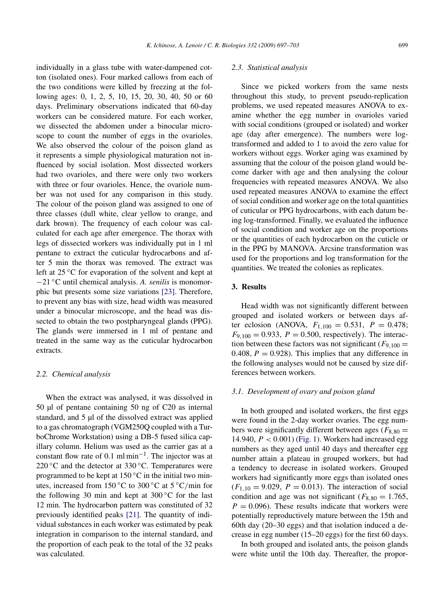individually in a glass tube with water-dampened cotton (isolated ones). Four marked callows from each of the two conditions were killed by freezing at the following ages: 0, 1, 2, 5, 10, 15, 20, 30, 40, 50 or 60 days. Preliminary observations indicated that 60-day workers can be considered mature. For each worker, we dissected the abdomen under a binocular microscope to count the number of eggs in the ovarioles. We also observed the colour of the poison gland as it represents a simple physiological maturation not influenced by social isolation. Most dissected workers had two ovarioles, and there were only two workers with three or four ovarioles. Hence, the ovariole number was not used for any comparison in this study. The colour of the poison gland was assigned to one of three classes (dull white, clear yellow to orange, and dark brown). The frequency of each colour was calculated for each age after emergence. The thorax with legs of dissected workers was individually put in 1 ml pentane to extract the cuticular hydrocarbons and after 5 min the thorax was removed. The extract was left at 25 ◦C for evaporation of the solvent and kept at −21 ◦C until chemical analysis. *A. senilis* is monomorphic but presents some size variations [\[23\].](#page-6-0) Therefore, to prevent any bias with size, head width was measured under a binocular microscope, and the head was dissected to obtain the two postpharyngeal glands (PPG). The glands were immersed in 1 ml of pentane and treated in the same way as the cuticular hydrocarbon extracts.

#### *2.2. Chemical analysis*

When the extract was analysed, it was dissolved in 50 µl of pentane containing 50 ng of C20 as internal standard, and 5 µl of the dissolved extract was applied to a gas chromatograph (VGM250Q coupled with a TurboChrome Workstation) using a DB-5 fused silica capillary column. Helium was used as the carrier gas at a constant flow rate of 0.1 ml min−1. The injector was at 220 °C and the detector at  $330$  °C. Temperatures were programmed to be kept at 150 ◦C in the initial two minutes, increased from 150 ◦C to 300 ◦C at 5 ◦C*/*min for the following 30 min and kept at  $300\degree$ C for the last 12 min. The hydrocarbon pattern was constituted of 32 previously identified peaks [\[21\].](#page-6-0) The quantity of individual substances in each worker was estimated by peak integration in comparison to the internal standard, and the proportion of each peak to the total of the 32 peaks was calculated.

#### *2.3. Statistical analysis*

Since we picked workers from the same nests throughout this study, to prevent pseudo-replication problems, we used repeated measures ANOVA to examine whether the egg number in ovarioles varied with social conditions (grouped or isolated) and worker age (day after emergence). The numbers were logtransformed and added to 1 to avoid the zero value for workers without eggs. Worker aging was examined by assuming that the colour of the poison gland would become darker with age and then analysing the colour frequencies with repeated measures ANOVA. We also used repeated measures ANOVA to examine the effect of social condition and worker age on the total quantities of cuticular or PPG hydrocarbons, with each datum being log-transformed. Finally, we evaluated the influence of social condition and worker age on the proportions or the quantities of each hydrocarbon on the cuticle or in the PPG by MANOVA. Arcsine transformation was used for the proportions and log transformation for the quantities. We treated the colonies as replicates.

#### **3. Results**

Head width was not significantly different between grouped and isolated workers or between days after eclosion (ANOVA,  $F_{1,100} = 0.531$ ,  $P = 0.478$ ;  $F_{9,100} = 0.933$ ,  $P = 0.500$ , respectively). The interaction between these factors was not significant ( $F_{9,100} =$ 0.408,  $P = 0.928$ ). This implies that any difference in the following analyses would not be caused by size differences between workers.

#### *3.1. Development of ovary and poison gland*

In both grouped and isolated workers, the first eggs were found in the 2-day worker ovaries. The egg numbers were significantly different between ages ( $F_{8,80}$  = 14*.*940, *P <* 0*.*001) [\(Fig. 1\)](#page-3-0). Workers had increased egg numbers as they aged until 40 days and thereafter egg number attain a plateau in grouped workers, but had a tendency to decrease in isolated workers. Grouped workers had significantly more eggs than isolated ones  $(F_{1,10} = 9.029, P = 0.013)$ . The interaction of social condition and age was not significant ( $F_{8,80} = 1.765$ ,  $P = 0.096$ . These results indicate that workers were potentially reproductively mature between the 15th and 60th day (20–30 eggs) and that isolation induced a decrease in egg number (15–20 eggs) for the first 60 days.

In both grouped and isolated ants, the poison glands were white until the 10th day. Thereafter, the propor-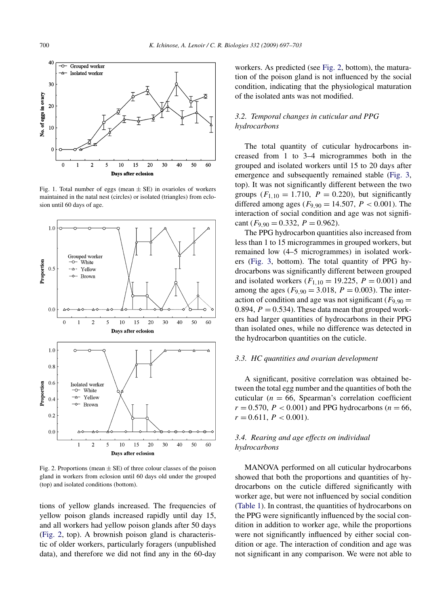<span id="page-3-0"></span>

Fig. 1. Total number of eggs (mean  $\pm$  SE) in ovarioles of workers maintained in the natal nest (circles) or isolated (triangles) from eclosion until 60 days of age.



Fig. 2. Proportions (mean  $\pm$  SE) of three colour classes of the poison gland in workers from eclosion until 60 days old under the grouped (top) and isolated conditions (bottom).

tions of yellow glands increased. The frequencies of yellow poison glands increased rapidly until day 15, and all workers had yellow poison glands after 50 days (Fig. 2, top). A brownish poison gland is characteristic of older workers, particularly foragers (unpublished data), and therefore we did not find any in the 60-day

workers. As predicted (see Fig. 2, bottom), the maturation of the poison gland is not influenced by the social condition, indicating that the physiological maturation of the isolated ants was not modified.

## *3.2. Temporal changes in cuticular and PPG hydrocarbons*

The total quantity of cuticular hydrocarbons increased from 1 to 3–4 microgrammes both in the grouped and isolated workers until 15 to 20 days after emergence and subsequently remained stable [\(Fig. 3,](#page-4-0) top). It was not significantly different between the two groups  $(F_{1,10} = 1.710, P = 0.220)$ , but significantly differed among ages ( $F_{9,90} = 14.507$ ,  $P < 0.001$ ). The interaction of social condition and age was not significant  $(F_{9,90} = 0.332, P = 0.962)$ .

The PPG hydrocarbon quantities also increased from less than 1 to 15 microgrammes in grouped workers, but remained low (4–5 microgrammes) in isolated workers [\(Fig. 3,](#page-4-0) bottom). The total quantity of PPG hydrocarbons was significantly different between grouped and isolated workers  $(F_{1,10} = 19.225, P = 0.001)$  and among the ages ( $F_{9,90} = 3.018$ ,  $P = 0.003$ ). The interaction of condition and age was not significant ( $F_{9,90}$  = 0.894,  $P = 0.534$ . These data mean that grouped workers had larger quantities of hydrocarbons in their PPG than isolated ones, while no difference was detected in the hydrocarbon quantities on the cuticle.

#### *3.3. HC quantities and ovarian development*

A significant, positive correlation was obtained between the total egg number and the quantities of both the cuticular  $(n = 66,$  Spearman's correlation coefficient  $r = 0.570$ ,  $P < 0.001$ ) and PPG hydrocarbons ( $n = 66$ ,  $r = 0.611, P < 0.001$ .

## *3.4. Rearing and age effects on individual hydrocarbons*

MANOVA performed on all cuticular hydrocarbons showed that both the proportions and quantities of hydrocarbons on the cuticle differed significantly with worker age, but were not influenced by social condition [\(Table 1\)](#page-4-0). In contrast, the quantities of hydrocarbons on the PPG were significantly influenced by the social condition in addition to worker age, while the proportions were not significantly influenced by either social condition or age. The interaction of condition and age was not significant in any comparison. We were not able to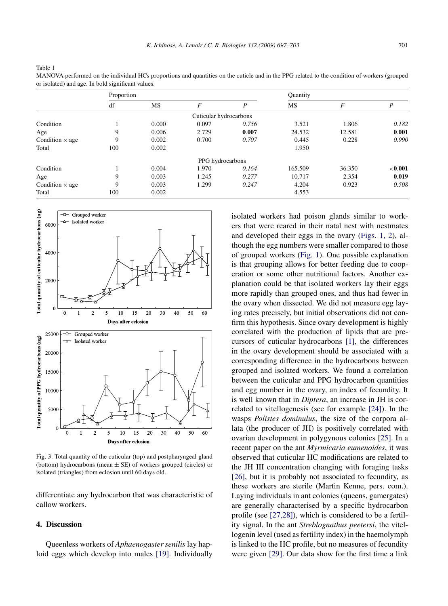<span id="page-4-0"></span>Table 1

| MANOVA performed on the individual HCs proportions and quantities on the cuticle and in the PPG related to the condition of workers (grouped |  |  |
|----------------------------------------------------------------------------------------------------------------------------------------------|--|--|
| or isolated) and age. In bold significant values.                                                                                            |  |  |

|                        | Proportion |       |                        | Quantity |         |        |            |
|------------------------|------------|-------|------------------------|----------|---------|--------|------------|
|                        | df         | MS    | F                      | P        | MS      | F      | P          |
|                        |            |       | Cuticular hydrocarbons |          |         |        |            |
| Condition              |            | 0.000 | 0.097                  | 0.756    | 3.521   | 1.806  | 0.182      |
| Age                    | 9          | 0.006 | 2.729                  | 0.007    | 24.532  | 12.581 | 0.001      |
| Condition $\times$ age | 9          | 0.002 | 0.700                  | 0.707    | 0.445   | 0.228  | 0.990      |
| Total                  | 100        | 0.002 |                        |          | 1.950   |        |            |
|                        |            |       | PPG hydrocarbons       |          |         |        |            |
| Condition              |            | 0.004 | 1.970                  | 0.164    | 165.509 | 36.350 | ${<}0.001$ |
| Age                    | 9          | 0.003 | 1.245                  | 0.277    | 10.717  | 2.354  | 0.019      |
| Condition $\times$ age | 9          | 0.003 | 1.299                  | 0.247    | 4.204   | 0.923  | 0.508      |
| Total                  | 100        | 0.002 |                        |          | 4.553   |        |            |



Fig. 3. Total quantity of the cuticular (top) and postpharyngeal gland (bottom) hydrocarbons (mean  $\pm$  SE) of workers grouped (circles) or isolated (triangles) from eclosion until 60 days old.

differentiate any hydrocarbon that was characteristic of callow workers.

## **4. Discussion**

Queenless workers of *Aphaenogaster senilis* lay haploid eggs which develop into males [\[19\].](#page-6-0) Individually isolated workers had poison glands similar to workers that were reared in their natal nest with nestmates and developed their eggs in the ovary [\(Figs. 1, 2\)](#page-3-0), although the egg numbers were smaller compared to those of grouped workers [\(Fig. 1\)](#page-3-0). One possible explanation is that grouping allows for better feeding due to cooperation or some other nutritional factors. Another explanation could be that isolated workers lay their eggs more rapidly than grouped ones, and thus had fewer in the ovary when dissected. We did not measure egg laying rates precisely, but initial observations did not confirm this hypothesis. Since ovary development is highly correlated with the production of lipids that are precursors of cuticular hydrocarbons [\[1\],](#page-5-0) the differences in the ovary development should be associated with a corresponding difference in the hydrocarbons between grouped and isolated workers. We found a correlation between the cuticular and PPG hydrocarbon quantities and egg number in the ovary, an index of fecundity. It is well known that in *Diptera*, an increase in JH is correlated to vitellogenesis (see for example [\[24\]\)](#page-6-0). In the wasps *Polistes dominulus*, the size of the corpora allata (the producer of JH) is positively correlated with ovarian development in polygynous colonies [\[25\].](#page-6-0) In a recent paper on the ant *Myrmicaria eumenoides*, it was observed that cuticular HC modifications are related to the JH III concentration changing with foraging tasks [\[26\],](#page-6-0) but it is probably not associated to fecundity, as these workers are sterile (Martin Kenne, pers. com.). Laying individuals in ant colonies (queens, gamergates) are generally characterised by a specific hydrocarbon profile (see [\[27,28\]\)](#page-6-0), which is considered to be a fertility signal. In the ant *Streblognathus peetersi*, the vitellogenin level (used as fertility index) in the haemolymph is linked to the HC profile, but no measures of fecundity were given [\[29\].](#page-6-0) Our data show for the first time a link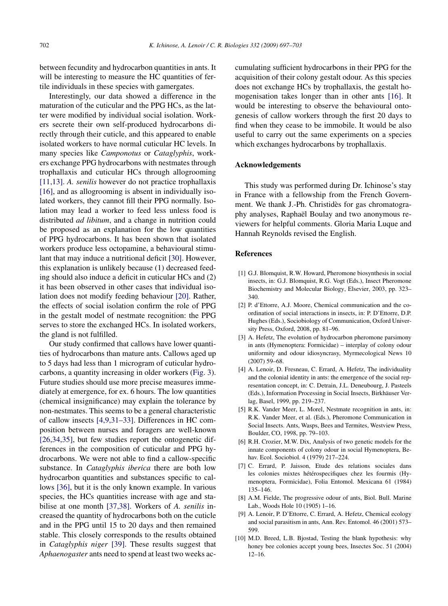<span id="page-5-0"></span>between fecundity and hydrocarbon quantities in ants. It will be interesting to measure the HC quantities of fertile individuals in these species with gamergates.

Interestingly, our data showed a difference in the maturation of the cuticular and the PPG HCs, as the latter were modified by individual social isolation. Workers secrete their own self-produced hydrocarbons directly through their cuticle, and this appeared to enable isolated workers to have normal cuticular HC levels. In many species like *Camponotus* or *Cataglyphis*, workers exchange PPG hydrocarbons with nestmates through trophallaxis and cuticular HCs through allogrooming [\[11,13\].](#page-6-0) *A. senilis* however do not practice trophallaxis [\[16\],](#page-6-0) and as allogrooming is absent in individually isolated workers, they cannot fill their PPG normally. Isolation may lead a worker to feed less unless food is distributed *ad libitum*, and a change in nutrition could be proposed as an explanation for the low quantities of PPG hydrocarbons. It has been shown that isolated workers produce less octopamine, a behavioural stimulant that may induce a nutritional deficit [\[30\].](#page-6-0) However, this explanation is unlikely because (1) decreased feeding should also induce a deficit in cuticular HCs and (2) it has been observed in other cases that individual isolation does not modify feeding behaviour [\[20\].](#page-6-0) Rather, the effects of social isolation confirm the role of PPG in the gestalt model of nestmate recognition: the PPG serves to store the exchanged HCs. In isolated workers, the gland is not fulfilled.

Our study confirmed that callows have lower quantities of hydrocarbons than mature ants. Callows aged up to 5 days had less than 1 microgram of cuticular hydrocarbons, a quantity increasing in older workers [\(Fig. 3\)](#page-4-0). Future studies should use more precise measures immediately at emergence, for ex. 6 hours. The low quantities (chemical insignificance) may explain the tolerance by non-nestmates. This seems to be a general characteristic of callow insects [4,9,31–33]. Differences in HC composition between nurses and foragers are well-known [\[26,34,35\],](#page-6-0) but few studies report the ontogenetic differences in the composition of cuticular and PPG hydrocarbons. We were not able to find a callow-specific substance. In *Cataglyphis iberica* there are both low hydrocarbon quantities and substances specific to callows [\[36\],](#page-6-0) but it is the only known example. In various species, the HCs quantities increase with age and stabilise at one month [\[37,38\].](#page-6-0) Workers of *A. senilis* increased the quantity of hydrocarbons both on the cuticle and in the PPG until 15 to 20 days and then remained stable. This closely corresponds to the results obtained in *Cataglyphis niger* [\[39\].](#page-6-0) These results suggest that *Aphaenogaster* ants need to spend at least two weeks accumulating sufficient hydrocarbons in their PPG for the acquisition of their colony gestalt odour. As this species does not exchange HCs by trophallaxis, the gestalt homogenisation takes longer than in other ants [\[16\].](#page-6-0) It would be interesting to observe the behavioural ontogenesis of callow workers through the first 20 days to find when they cease to be immobile. It would be also useful to carry out the same experiments on a species which exchanges hydrocarbons by trophallaxis.

## **Acknowledgements**

This study was performed during Dr. Ichinose's stay in France with a fellowship from the French Government. We thank J.-Ph. Christidès for gas chromatography analyses, Raphaël Boulay and two anonymous reviewers for helpful comments. Gloria Maria Luque and Hannah Reynolds revised the English.

#### **References**

- [1] G.J. Blomquist, R.W. Howard, Pheromone biosynthesis in social insects, in: G.J. Blomquist, R.G. Vogt (Eds.), Insect Pheromone Biochemistry and Molecular Biology, Elsevier, 2003, pp. 323– 340.
- [2] P. d'Ettorre, A.J. Moore, Chemical communication and the coordination of social interactions in insects, in: P. D'Ettorre, D.P. Hughes (Eds.), Sociobiology of Communication, Oxford University Press, Oxford, 2008, pp. 81–96.
- [3] A. Hefetz, The evolution of hydrocarbon pheromone parsimony in ants (Hymenoptera: Formicidae) – interplay of colony odour uniformity and odour idiosyncrasy, Myrmecological News 10 (2007) 59–68.
- [4] A. Lenoir, D. Fresneau, C. Errard, A. Hefetz, The individuality and the colonial identity in ants: the emergence of the social representation concept, in: C. Detrain, J.L. Deneubourg, J. Pasteels (Eds.), Information Processing in Social Insects, Birkhäuser Verlag, Basel, 1999, pp. 219–237.
- [5] R.K. Vander Meer, L. Morel, Nestmate recognition in ants, in: R.K. Vander Meer, et al. (Eds.), Pheromone Communication in Social Insects. Ants, Wasps, Bees and Termites, Westview Press, Boulder, CO, 1998, pp. 79–103.
- [6] R.H. Crozier, M.W. Dix, Analysis of two genetic models for the innate components of colony odour in social Hymenoptera, Behav. Ecol. Sociobiol. 4 (1979) 217–224.
- [7] C. Errard, P. Jaisson, Etude des relations sociales dans les colonies mixtes hétérospecifiques chez les fourmis (Hymenoptera, Formicidae), Folia Entomol. Mexicana 61 (1984) 135–146.
- [8] A.M. Fielde, The progressive odour of ants, Biol. Bull. Marine Lab., Woods Hole 10 (1905) 1–16.
- [9] A. Lenoir, P. D'Ettorre, C. Errard, A. Hefetz, Chemical ecology and social parasitism in ants, Ann. Rev. Entomol. 46 (2001) 573– 599.
- [10] M.D. Breed, L.B. Bjostad, Testing the blank hypothesis: why honey bee colonies accept young bees, Insectes Soc. 51 (2004) 12–16.